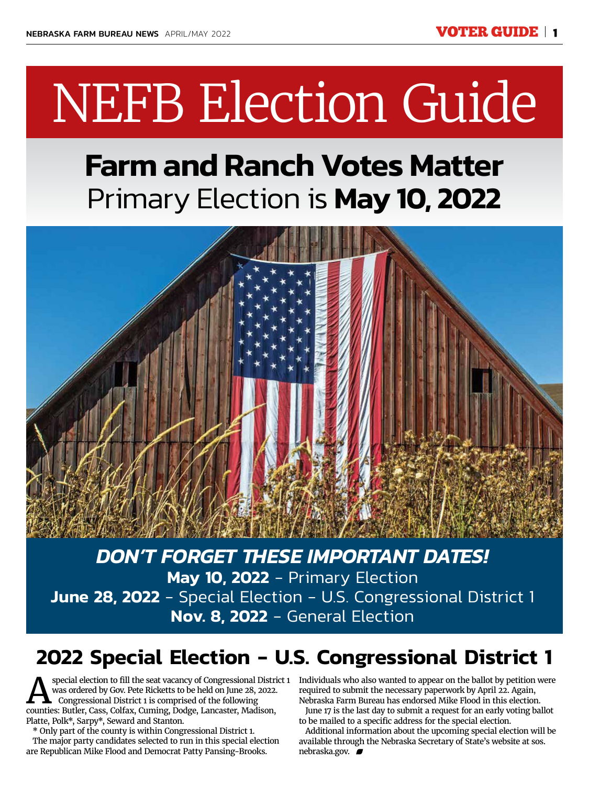# NEFB Election Guide

# **Farm and Ranch Votes Matter** Primary Election is **May 10, 2022**



*DON'T FORGET THESE IMPORTANT DATES!* **May 10, 2022** - Primary Election **June 28, 2022** - Special Election - U.S. Congressional District 1 **Nov. 8, 2022** - General Election

# **2022 Special Election - U.S. Congressional District 1**

Special election to fill the seat vacancy of Congressional District 1<br>Was ordered by Gov. Pete Ricketts to be held on June 28, 2022.<br>Congressional District 1 is comprised of the following<br>Counties: Butler Cass, Colfax, Cum was ordered by Gov. Pete Ricketts to be held on June 28, 2022. Congressional District 1 is comprised of the following counties: Butler, Cass, Colfax, Cuming, Dodge, Lancaster, Madison, Platte, Polk\*, Sarpy\*, Seward and Stanton.

\* Only part of the county is within Congressional District 1. The major party candidates selected to run in this special election are Republican Mike Flood and Democrat Patty Pansing-Brooks.

Individuals who also wanted to appear on the ballot by petition were required to submit the necessary paperwork by April 22. Again, Nebraska Farm Bureau has endorsed Mike Flood in this election.

June 17 is the last day to submit a request for an early voting ballot to be mailed to a specific address for the special election.

Additional information about the upcoming special election will be available through the Nebraska Secretary of State's website at sos. nebraska.gov.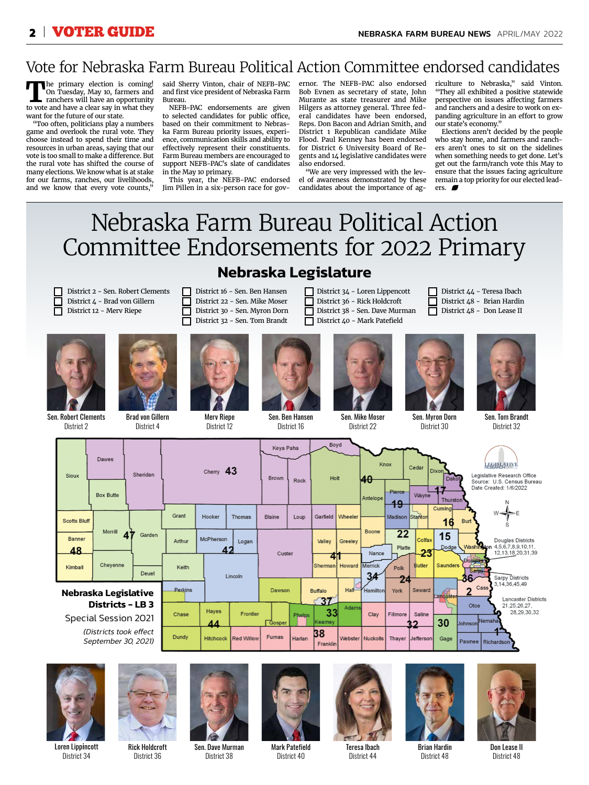## Vote for Nebraska Farm Bureau Political Action Committee endorsed candidates

**T**he primary election is coming! On Tuesday, May 10, farmers and ranchers will have an opportunity to vote and have a clear say in what they want for the future of our state.

"Too often, politicians play a numbers game and overlook the rural vote. They choose instead to spend their time and resources in urban areas, saying that our vote is too small to make a difference. But the rural vote has shifted the course of many elections. We know what is at stake for our farms, ranches, our livelihoods, and we know that every vote counts,"

said Sherry Vinton, chair of NEFB-PAC and first vice president of Nebraska Farm Bureau.

NEFB-PAC endorsements are given to selected candidates for public office, based on their commitment to Nebraska Farm Bureau priority issues, experience, communication skills and ability to effectively represent their constituents. Farm Bureau members are encouraged to support NEFB-PAC's slate of candidates in the May 10 primary.

This year, the NEFB-PAC endorsed Jim Pillen in a six-person race for gov-

ernor. The NEFB-PAC also endorsed Bob Evnen as secretary of state, John Murante as state treasurer and Mike Hilgers as attorney general. Three federal candidates have been endorsed, Reps. Don Bacon and Adrian Smith, and District 1 Republican candidate Mike Flood. Paul Kenney has been endorsed for District 6 University Board of Regents and 14 legislative candidates were also endorsed.

"We are very impressed with the level of awareness demonstrated by these candidates about the importance of agriculture to Nebraska," said Vinton. "They all exhibited a positive statewide perspective on issues affecting farmers and ranchers and a desire to work on expanding agriculture in an effort to grow our state's economy."

Elections aren't decided by the people who stay home, and farmers and ranchers aren't ones to sit on the sidelines when something needs to get done. Let's get out the farm/ranch vote this May to ensure that the issues facing agriculture remain a top priority for our elected leaders.

# Nebraska Farm Bureau Political Action Committee Endorsements for 2022 Primary **Nebraska Legislature**

#### District 2 - Sen. Robert Clements District 4 - Brad von Gillern District 12 - Merv Riepe



District 2



Brad von Gillern District 4



 $\Box$ Г



District 16 - Sen. Ben Hansen District 22 - Sen. Mike Moser District 30 - Sen. Myron Dorn

> Merv Riepe District 12



П

П

Sen. Ben Hansen District 16

District 36 - Rick Holdcroft District 38 - Sen. Dave Murman District 40 - Mark Patefield

District 22

District 34 - Loren Lippencott



District 30

District 44 - Teresa Ibach District 48 - Brian Hardin District 48 - Don Lease II



Sen. Tom Brandt District 32

| Sioux                                                  | Dawes<br><b>Box Butte</b> | Sheridan | Cherry 43        |                   |               | Keya Paha<br>Brown | Rock           | Boyd<br>Holt                          |                      | Κ4θ<br>Antelope | Knox<br>Cedar<br>Pierce<br>Wayne<br>49 |               |                                                                 | <b>LEGISLATIVE</b><br>Dixon<br>Legislative Research Office<br>Dakot<br>Source: U.S. Census Bureau<br>Date Created: 1/6/2022<br>Thurston |  |
|--------------------------------------------------------|---------------------------|----------|------------------|-------------------|---------------|--------------------|----------------|---------------------------------------|----------------------|-----------------|----------------------------------------|---------------|-----------------------------------------------------------------|-----------------------------------------------------------------------------------------------------------------------------------------|--|
| <b>Scotts Bluff</b>                                    |                           |          | Grant            | Hooker            | Thomas        | Blaine             | Loup           | Garfield   Wheeler                    |                      |                 | Madison Stanton                        |               | Cuming<br>16                                                    | $w =$<br>Burt                                                                                                                           |  |
| Banner<br>48                                           | Morrill                   | Garden   | Arthur           | McPherson         | Logan<br>42   | Custer             |                | Valley                                | Greeley              | Boone<br>Nance  | 22<br>Platte                           |               | 15<br>Colfax<br>Dodge<br>23                                     | Douglas Districts<br>Washington 4.5.6.7.8.9.10.11.<br>12,13,18,20,31,39                                                                 |  |
| Kimball                                                | Cheyenne                  | Deuel    | Keith            |                   | Lincoln       |                    |                |                                       | 41<br>Sherman Howard | Merrick<br>34   | Polk                                   | <b>Butler</b> | Saunders                                                        | Douglas<br>Sarpy.<br>36<br>Sarpy Districts                                                                                              |  |
| Nebraska Legislative                                   |                           | Perkins  |                  |                   |               | Dawson             |                | Hall<br><b>Buffalo</b><br>$\sqrt{37}$ |                      | 24<br>York      | Seward                                 | Lancaster     | 3,14,36,45,49<br>Cass<br>$\overline{2}$<br>Lancaster Districts  |                                                                                                                                         |  |
| <b>Districts - LB 3</b><br><b>Special Session 2021</b> |                           | Chase    | Hayes<br>44      | Frontier          | Gosper        | Phelps             | 33<br>Kearney  | Adams                                 | Clay                 | Fillmore        | Saline                                 | 30            | 21, 25, 26, 27.<br>Otoe<br>28,29,30,32<br><b>Uohnson</b> Nemaha |                                                                                                                                         |  |
| (Districts took effect<br>September 30, 2021)          |                           | Dundy    | <b>Hitchcock</b> | <b>Red Willow</b> | <b>Furnas</b> | Harlan             | 38<br>Franklin |                                       | Webster   Nuckolls   |                 | Thayer Jefferson                       | Gage          | Pawnee Richardson                                               |                                                                                                                                         |  |



District 34

Rick Holdcroft District 36



Sen. Dave Murman District 38





District 44



Brian Hardin District 48

Don Lease II District 48